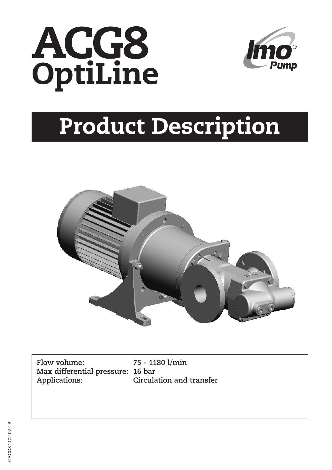



# Product Description



**Flow volume: 75 - 1180 l/min Max differential pressure: 16 bar Applications: Circulation and transfer**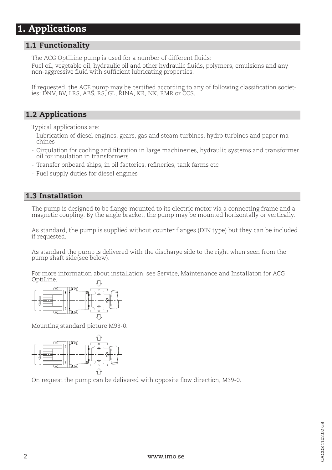# 1. Applications

# 1.1 Functionality

The ACG OptiLine pump is used for a number of different fluids:

Fuel oil, vegetable oil, hydraulic oil and other hydraulic fluids, polymers, emulsions and any non-aggressive fluid with sufficient lubricating properties.

If requested, the ACE pump may be certified according to any of following classification societies: DNV, BV, LRS, ABS, RS, GL, RINA, KR, NK, RMR or CCS.

# 1.2 Applications

Typical applications are:

- Lubrication of diesel engines, gears, gas and steam turbines, hydro turbines and paper machines
- Circulation for cooling and filtration in large machineries, hydraulic systems and transformer oil for insulation in transformers
- Transfer onboard ships, in oil factories, refineries, tank farms etc
- Fuel supply duties for diesel engines

## 1.3 Installation

The pump is designed to be flange-mounted to its electric motor via a connecting frame and a magnetic coupling. By the angle bracket, the pump may be mounted horizontally or vertically.

As standard, the pump is supplied without counter flanges (DIN type) but they can be included if requested.

As standard the pump is delivered with the discharge side to the right when seen from the pump shaft side(see below).

For more information about installation, see Service, Maintenance and Installaton for ACG OptiLine.



Mounting standard picture M93-0.



On request the pump can be delivered with opposite flow direction, M39-0.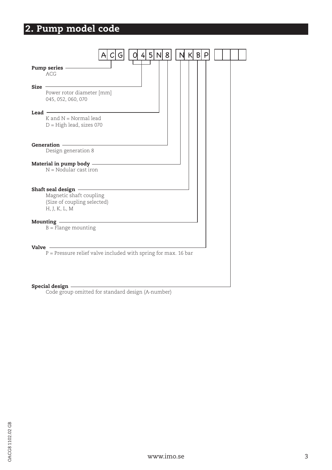# 2. Pump model code

|          | ACG                                                                                                                                                                                                                                                   |
|----------|-------------------------------------------------------------------------------------------------------------------------------------------------------------------------------------------------------------------------------------------------------|
| Size     | Power rotor diameter [mm]<br>045, 052, 060, 070                                                                                                                                                                                                       |
| Lead $-$ | $K$ and $N = Normal$ lead<br>$D = High$ lead, sizes 070                                                                                                                                                                                               |
|          | Generation – Constant Constant Constant Constant Constant Constant Constant Constant Constant Constant Constant Constant Constant Constant Constant Constant Constant Constant Constant Constant Constant Constant Constant Co<br>Design generation 8 |
|          | $N = N$ odular cast iron                                                                                                                                                                                                                              |
|          | Magnetic shaft coupling<br>(Size of coupling selected)<br>H, J, K, L, M                                                                                                                                                                               |
|          | $B =$ Flange mounting                                                                                                                                                                                                                                 |
|          |                                                                                                                                                                                                                                                       |
|          | Valve ———————————                                                                                                                                                                                                                                     |

Special design Code group omitted for standard design (A-number)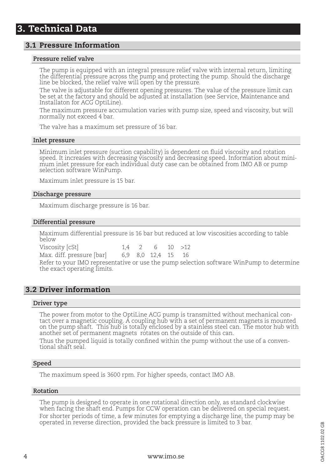# 3.1 Pressure Information

#### **Pressure relief valve**

The pump is equipped with an integral pressure relief valve with internal return, limiting the differential pressure across the pump and protecting the pump. Should the discharge line be blocked, the relief valve will open by the pressure.

The valve is adjustable for different opening pressures. The value of the pressure limit can be set at the factory and should be adjusted at installation (see Service, Maintenance and Installaton for ACG OptiLine).

The maximum pressure accumulation varies with pump size, speed and viscosity, but will normally not exceed 4 bar.

The valve has a maximum set pressure of 16 bar.

#### **Inlet pressure**

Minimum inlet pressure (suction capability) is dependent on fluid viscosity and rotation speed. It increases with decreasing viscosity and decreasing speed. Information about minimum inlet pressure for each individual duty case can be obtained from IMO AB or pump selection software WinPump.

Maximum inlet pressure is 15 bar.

#### **Discharge pressure**

Maximum discharge pressure is 16 bar.

#### **Differential pressure**

Maximum differential pressure is 16 bar but reduced at low viscosities according to table below

Viscosity [cSt] 1,4 2 6 10 >12 Max. diff. pressure [bar] 6,9 8,0 12,4 15 16 Refer to your IMO representative or use the pump selection software WinPump to determine the exact operating limits.

## 3.2 Driver information

#### **Driver type**

The power from motor to the OptiLine ACG pump is transmitted without mechanical contact over a magnetic coupling. A coupling hub with a set of permanent magnets is mounted on the pump shaft. This hub is totally enclosed by a stainless steel can. The motor hub with another set of permanent magnets rotates on the outside of this can. Thus the pumped liquid is totally confined within the pump without the use of a conventional shaft seal.

#### **Speed**

The maximum speed is 3600 rpm. For higher speeds, contact IMO AB.

#### **Rotation**

The pump is designed to operate in one rotational direction only, as standard clockwise when facing the shaft end. Pumps for CCW operation can be delivered on special request. For shorter periods of time, a few minutes for emptying a discharge line, the pump may be operated in reverse direction, provided the back pressure is limited to 3 bar.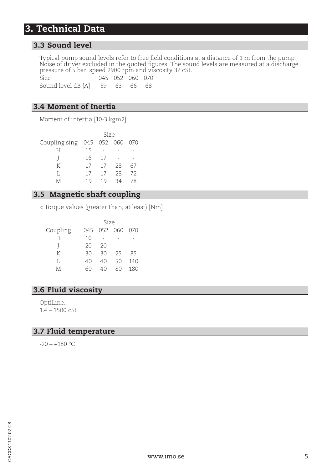# 3. Technical Data

# 3.3 Sound level

Typical pump sound levels refer to free field conditions at a distance of 1 m from the pump. Noise of driver excluded in the quoted figures. The sound levels are measured at a discharge pressure of 5 bar, speed 2900 rpm and viscosity 37 cSt.

Size 045 052 060 070 Sound level dB [A] 59 63 66 68

## 3.4 Moment of Inertia

Moment of intertia [10-3 kgm2]

|                               | Size |    |    |    |  |  |  |  |  |
|-------------------------------|------|----|----|----|--|--|--|--|--|
| Coupling sing 045 052 060 070 |      |    |    |    |  |  |  |  |  |
| Н                             | 15   |    |    |    |  |  |  |  |  |
|                               | 16   | 17 |    |    |  |  |  |  |  |
| K                             | 17   | 17 | 28 | 67 |  |  |  |  |  |
|                               | 1/   | 17 | 28 | 72 |  |  |  |  |  |
| M                             | 19   | 19 | 34 | 78 |  |  |  |  |  |
|                               |      |    |    |    |  |  |  |  |  |

# 3.5 Magnetic shaft coupling

< Torque values (greater than, at least) [Nm]

|          | Size |         |    |       |  |  |  |  |  |
|----------|------|---------|----|-------|--|--|--|--|--|
| Coupling | 045  | 052 060 |    | - 070 |  |  |  |  |  |
| H        | 10   |         |    |       |  |  |  |  |  |
|          | 20   | 20      |    |       |  |  |  |  |  |
| K        | 30   | 30      | 25 | 85    |  |  |  |  |  |
| L        | 40   | 40      | 50 | 140   |  |  |  |  |  |
| NЛ       |      | 40      |    | 180   |  |  |  |  |  |

# 3.6 Fluid viscosity

OptiLine: 1.4 – 1500 cSt

## 3.7 Fluid temperature

 $-20 - +180 °C$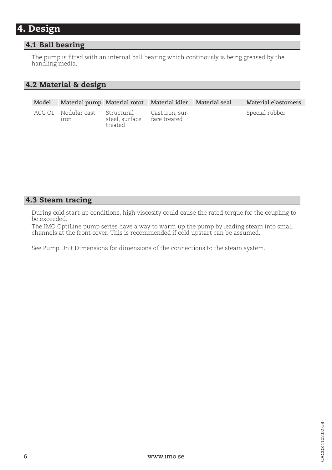# 4. Design

# 4.1 Ball bearing

The pump is fitted with an internal ball bearing which continously is being greased by the handling media.

## 4.2 Material & design

| Model | Material pump Material rotot Material idler Material seal |                                        |  | Material elastomers |
|-------|-----------------------------------------------------------|----------------------------------------|--|---------------------|
|       | ACG OL Nodular cast Structural Cast iron, sur-<br>ıron    | steel, surface face treated<br>treated |  | Special rubber      |

#### 4.3 Steam tracing

During cold start-up conditions, high viscosity could cause the rated torque for the coupling to be exceeded.

The IMO OptiLine pump series have a way to warm up the pump by leading steam into small channels at the front cover. This is recommended if cold upstart can be assumed.

See Pump Unit Dimensions for dimensions of the connections to the steam system.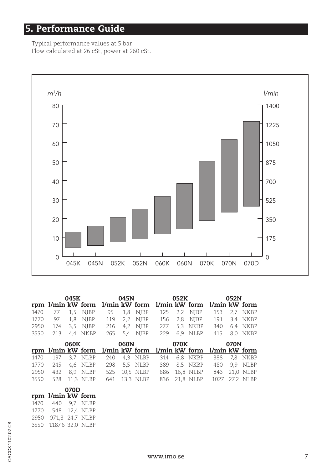# 5. Performance Guide

Typical performance values at 5 bar Flow calculated at 26 cSt, power at 260 cSt.



|                   | 045K |  | 045N               |  | 052K and the set of the set of the set of the set of the set of the set of the set of the set of the set of th | 052N                                                        |  |              |  |  |
|-------------------|------|--|--------------------|--|----------------------------------------------------------------------------------------------------------------|-------------------------------------------------------------|--|--------------|--|--|
|                   |      |  |                    |  |                                                                                                                | rpm l/min kW form l/min kW form l/min kW form l/min kW form |  |              |  |  |
|                   |      |  |                    |  |                                                                                                                | 1470 77 1,5 NJBP 95 1,8 NJBP 125 2,2 NJBP 153 2,7 NKBP      |  |              |  |  |
| 1770 97 1.8 NJBP  |      |  |                    |  | 156  2,8  NJBP                                                                                                 |                                                             |  | 191 3,4 NKBP |  |  |
| 2950 174 3.5 NJBP |      |  | 216    4.2    NIBP |  | 277 5.3 NKBP                                                                                                   |                                                             |  | 340 6,4 NKBP |  |  |
| 3550 213 4.4 NKBP |      |  |                    |  |                                                                                                                | 265 5.4 NJBP 229 6.9 NLBP 415 8.0 NKBP                      |  |              |  |  |

|                    |  |  |               |  | 060K 060N 070K 070N |                                                             |  |               |  |
|--------------------|--|--|---------------|--|---------------------|-------------------------------------------------------------|--|---------------|--|
|                    |  |  |               |  |                     | rpm l/min kW form l/min kW form l/min kW form l/min kW form |  |               |  |
|                    |  |  |               |  |                     | 240  4.3  NLBP  314  6.8  NKBP  388  7.8  NKBP              |  |               |  |
| 1770 245 4.6 NLBP  |  |  | 298 5.5 NLBP  |  | 389 8.5 NKBP        |                                                             |  | 480 9.9 NLBP  |  |
| 2950 432 8.9 NLBP  |  |  | 525 10,5 NLBP |  | 686 16,8 NLBP       |                                                             |  | 843 21.0 NLBP |  |
| 3550 528 11,3 NLBP |  |  |               |  |                     | 641 13.3 NLBP 836 21.8 NLBP 1027 27.2 NLBP                  |  |               |  |

|      |                   | 070D |                  |
|------|-------------------|------|------------------|
|      | rpm l/min kW form |      |                  |
| 1470 | 440               |      | 9.7 NLBP         |
| 1770 | 548               |      | 12,4 NLBP        |
| 2950 |                   |      | 971 3 24 7 NI RP |

 9/1,3 24,/ 1187,6 32,0 NLBP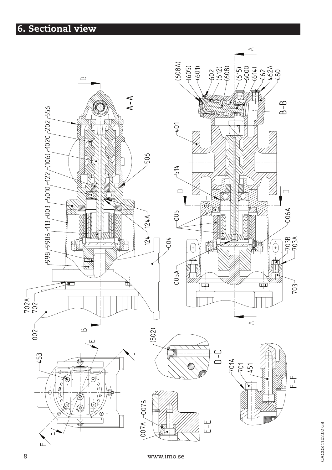# 6. Sectional view

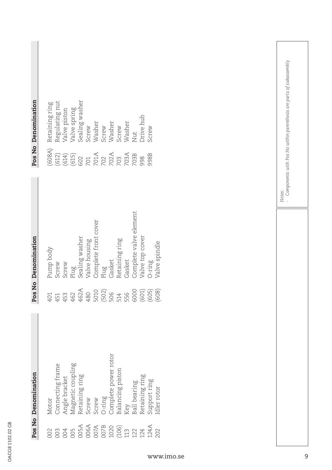| ŗ<br>î |  |
|--------|--|
|        |  |
| г      |  |
|        |  |

| $-11$<br><b>RAND</b><br>ì<br>( |  |
|--------------------------------|--|
|                                |  |
| T,<br>°9.                      |  |

| 002   | Motor                |
|-------|----------------------|
| 003   | Connecting frame     |
| 004   | Angle bracket        |
| 005   | Magnetic coupling    |
| 005A  | Retaining ring       |
| 006A  | Screw                |
| 007A  | Screw                |
| 007B  | O-ring               |
| 1020  | Complete power rotor |
| (106) | Balancing piston     |
| 113   | Key                  |
| 122   | Ball bearing         |
| 124   | Retaining ring       |
| 124A  | Support ring         |
| 202   | Idler rotor          |

| ì<br>֚֕֡֡<br>j<br>ì |  |
|---------------------|--|
| ſ,                  |  |
| r<br>z<br>ĩ,        |  |

| Pump body | Screw | Screw | Plug | Sealing washer | Valve housing | Complete front cover | Plug  | Gasket | Retaining ring | Gasket | Complete valve element | Valve top cover | O-ring | Valve spindle |
|-----------|-------|-------|------|----------------|---------------|----------------------|-------|--------|----------------|--------|------------------------|-----------------|--------|---------------|
| 401       | 451   | 453   | 462  | 462A           | 480           | 5010                 | (502) | 506    | 514            | 556    | 6000                   | (601)           | (605)  | (608)         |
|           |       |       |      |                |               |                      |       |        |                |        |                        |                 |        |               |

| ឨ<br>Í |
|--------|
| Dei.   |
| o<br>Z |
| Pos    |

| (608A)     | Retaining ring |
|------------|----------------|
| (612)      | Regulating nut |
| (614)      | Valve piston   |
| (615)      | Valve spring   |
| 602        | Sealing washer |
| <b>701</b> | Screw          |
| 701A       | Washer         |
| 702        | Screw          |
| 702A       | Washer         |
| 703        | Screw          |
| 703A       | Washer         |
| 703B       | Nut            |
| 998        | Drive hub      |
| 998B       | Screw          |

*Notes: -Components with Pos No within parenthesis are parts of subassembly*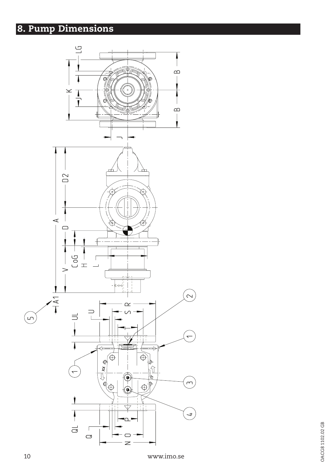# 8. Pump Dimensions



10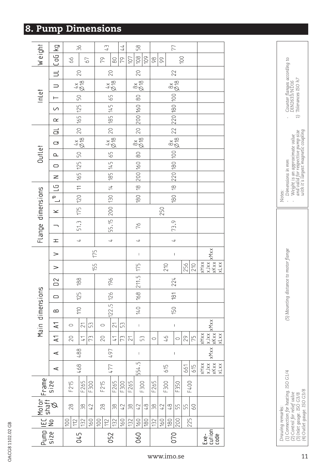# 8. Pump Dimensions

|                                                                                                                                                      |                         |                                                                                                                                                                                                                                                                                                                                                 |                                   |                 | $\begin{pmatrix} 1 \\ -1 \end{pmatrix}$<br>$\frac{1}{7}$ |                        |                      | 58                                                                                                                                                                                                                                                                                                                                                                                                             |                                                                                            |                  | 77                                    |      |               |           |                                                                                                                             |         |                                                      |                |  |  |  |  |
|------------------------------------------------------------------------------------------------------------------------------------------------------|-------------------------|-------------------------------------------------------------------------------------------------------------------------------------------------------------------------------------------------------------------------------------------------------------------------------------------------------------------------------------------------|-----------------------------------|-----------------|----------------------------------------------------------|------------------------|----------------------|----------------------------------------------------------------------------------------------------------------------------------------------------------------------------------------------------------------------------------------------------------------------------------------------------------------------------------------------------------------------------------------------------------------|--------------------------------------------------------------------------------------------|------------------|---------------------------------------|------|---------------|-----------|-----------------------------------------------------------------------------------------------------------------------------|---------|------------------------------------------------------|----------------|--|--|--|--|
| $W$ eight                                                                                                                                            | $ COG $ kg              | 66                                                                                                                                                                                                                                                                                                                                              | 107<br>79<br>79<br>67<br>$\infty$ |                 |                                                          |                        |                      |                                                                                                                                                                                                                                                                                                                                                                                                                | 108                                                                                        | 109              | 100<br>$\frac{8}{2}$<br>90            |      |               |           |                                                                                                                             |         |                                                      |                |  |  |  |  |
|                                                                                                                                                      | $\equiv$                | $\gtrsim$                                                                                                                                                                                                                                                                                                                                       |                                   |                 |                                                          |                        |                      |                                                                                                                                                                                                                                                                                                                                                                                                                | $\overline{20}$<br>$\geqslant$                                                             |                  |                                       |      |               | 22        |                                                                                                                             |         |                                                      |                |  |  |  |  |
|                                                                                                                                                      | $\Rightarrow$           |                                                                                                                                                                                                                                                                                                                                                 |                                   |                 | $\sqrt{\frac{8}{x}}$                                     | $\frac{8 \times 8}{8}$ |                      |                                                                                                                                                                                                                                                                                                                                                                                                                | $\begin{array}{ c c c c }\n\hline\n180 & 100 & \cancel{\text{O}}48 \\ \hline\n\end{array}$ |                  |                                       |      |               |           |                                                                                                                             |         |                                                      |                |  |  |  |  |
| Inlet                                                                                                                                                | $\vdash$                |                                                                                                                                                                                                                                                                                                                                                 |                                   |                 | $\frac{5}{6}$                                            |                        |                      | $\frac{80}{1}$                                                                                                                                                                                                                                                                                                                                                                                                 |                                                                                            |                  |                                       |      |               |           |                                                                                                                             |         |                                                      |                |  |  |  |  |
|                                                                                                                                                      | $\sim$                  |                                                                                                                                                                                                                                                                                                                                                 |                                   |                 | 145                                                      |                        | 20 200 160           |                                                                                                                                                                                                                                                                                                                                                                                                                |                                                                                            |                  |                                       |      |               |           |                                                                                                                             |         |                                                      |                |  |  |  |  |
|                                                                                                                                                      | $\alpha$                |                                                                                                                                                                                                                                                                                                                                                 |                                   |                 |                                                          | 185                    |                      |                                                                                                                                                                                                                                                                                                                                                                                                                |                                                                                            |                  |                                       |      |               | 220       |                                                                                                                             |         |                                                      |                |  |  |  |  |
|                                                                                                                                                      | $\overline{d}$          | ðξ<br>$\frac{8 \times 10}{8 \times 10}$<br>50<br> 125 <br>165<br>20 <sub>1</sub><br>$\frac{88}{37}$<br>$\overline{50}$<br> 25 <br>165<br>$\rightleftharpoons$<br> 120 <br>175<br>51.3<br>$\overline{a}$<br>188<br>125<br>110<br>$\geq$<br>$\circ$<br>$\gtrsim$<br>$\overline{4}$<br>488<br>468<br>F265<br>F215<br>28<br>βŚ<br>132<br>112<br>100 |                                   | 20              |                                                          |                        |                      | 22                                                                                                                                                                                                                                                                                                                                                                                                             |                                                                                            |                  |                                       |      |               |           |                                                                                                                             |         |                                                      |                |  |  |  |  |
|                                                                                                                                                      | $\circ$                 |                                                                                                                                                                                                                                                                                                                                                 |                                   |                 |                                                          | $\sqrt{\frac{8}{x}}$   |                      |                                                                                                                                                                                                                                                                                                                                                                                                                | $\frac{8 \times 10}{8 \times 6}$                                                           |                  | $\frac{1}{2}$   90   90   98   18   1 |      |               |           |                                                                                                                             |         |                                                      |                |  |  |  |  |
| Outlet                                                                                                                                               | $\Delta$                |                                                                                                                                                                                                                                                                                                                                                 |                                   |                 |                                                          | $-65$                  |                      |                                                                                                                                                                                                                                                                                                                                                                                                                | $\odot$                                                                                    |                  |                                       |      |               |           |                                                                                                                             |         |                                                      |                |  |  |  |  |
|                                                                                                                                                      | $\bigcirc$              |                                                                                                                                                                                                                                                                                                                                                 |                                   |                 | 45                                                       | 200 160                |                      |                                                                                                                                                                                                                                                                                                                                                                                                                |                                                                                            |                  |                                       |      |               |           |                                                                                                                             |         |                                                      |                |  |  |  |  |
|                                                                                                                                                      | $\geq$                  |                                                                                                                                                                                                                                                                                                                                                 |                                   |                 |                                                          | 185                    |                      |                                                                                                                                                                                                                                                                                                                                                                                                                |                                                                                            |                  | 220                                   |      |               |           |                                                                                                                             |         |                                                      |                |  |  |  |  |
|                                                                                                                                                      | $\frac{D}{D}$           |                                                                                                                                                                                                                                                                                                                                                 |                                   |                 | $\overline{z}$                                           |                        | $\frac{1}{\sqrt{2}}$ |                                                                                                                                                                                                                                                                                                                                                                                                                | $\overset{\circ}{\approx}$                                                                 |                  |                                       |      |               |           |                                                                                                                             |         |                                                      |                |  |  |  |  |
|                                                                                                                                                      | $\frac{1}{\epsilon}$    |                                                                                                                                                                                                                                                                                                                                                 |                                   | $\frac{130}{2}$ |                                                          |                        |                      |                                                                                                                                                                                                                                                                                                                                                                                                                | 80                                                                                         |                  |                                       |      |               | 80        |                                                                                                                             |         |                                                      |                |  |  |  |  |
|                                                                                                                                                      | $\overline{\mathbf{y}}$ |                                                                                                                                                                                                                                                                                                                                                 |                                   |                 | 55,15 200                                                |                        |                      |                                                                                                                                                                                                                                                                                                                                                                                                                |                                                                                            |                  | 250                                   |      |               |           |                                                                                                                             |         |                                                      |                |  |  |  |  |
| Flange dimensions                                                                                                                                    |                         |                                                                                                                                                                                                                                                                                                                                                 |                                   |                 |                                                          | 57                     |                      |                                                                                                                                                                                                                                                                                                                                                                                                                | 73.9                                                                                       |                  |                                       |      |               |           |                                                                                                                             |         |                                                      |                |  |  |  |  |
|                                                                                                                                                      | H                       |                                                                                                                                                                                                                                                                                                                                                 |                                   |                 | $\rightarrow$                                            | $\overline{t}$         |                      |                                                                                                                                                                                                                                                                                                                                                                                                                | $\overline{t}$                                                                             |                  |                                       |      |               |           |                                                                                                                             |         |                                                      |                |  |  |  |  |
|                                                                                                                                                      | $\geq$                  | 175                                                                                                                                                                                                                                                                                                                                             |                                   |                 |                                                          | $\mathsf I$            |                      |                                                                                                                                                                                                                                                                                                                                                                                                                | $\mathsf I$                                                                                |                  |                                       |      |               |           | $x$ <sub>N</sub> $x$                                                                                                        |         |                                                      |                |  |  |  |  |
|                                                                                                                                                      | $\geq$                  |                                                                                                                                                                                                                                                                                                                                                 |                                   |                 | 155                                                      |                        |                      |                                                                                                                                                                                                                                                                                                                                                                                                                | 256<br>175<br>210                                                                          |                  |                                       |      |               |           | 210                                                                                                                         |         | X X X X X<br>X X X X X X<br>X X X X X X<br>X X X X X |                |  |  |  |  |
| $\overline{D}$                                                                                                                                       |                         |                                                                                                                                                                                                                                                                                                                                                 |                                   |                 | 196                                                      |                        |                      | 211.5                                                                                                                                                                                                                                                                                                                                                                                                          |                                                                                            |                  | 224                                   |      |               |           |                                                                                                                             |         |                                                      |                |  |  |  |  |
|                                                                                                                                                      | $\Box$                  |                                                                                                                                                                                                                                                                                                                                                 |                                   | 126             |                                                          |                        | 168                  |                                                                                                                                                                                                                                                                                                                                                                                                                |                                                                                            | $\frac{181}{16}$ |                                       |      |               |           |                                                                                                                             |         |                                                      |                |  |  |  |  |
| Main dimensions                                                                                                                                      | മ                       |                                                                                                                                                                                                                                                                                                                                                 |                                   |                 | 122.5                                                    |                        |                      | 071                                                                                                                                                                                                                                                                                                                                                                                                            |                                                                                            |                  | 150                                   |      |               |           |                                                                                                                             |         |                                                      |                |  |  |  |  |
|                                                                                                                                                      | $\overline{4}$          |                                                                                                                                                                                                                                                                                                                                                 |                                   | $\mathbb{C}$    | $\geq$<br>S<br>$\circ$                                   |                        |                      | $\begin{array}{c} \rule{0pt}{2ex} \rule{0pt}{2ex} \rule{0pt}{2ex} \rule{0pt}{2ex} \rule{0pt}{2ex} \rule{0pt}{2ex} \rule{0pt}{2ex} \rule{0pt}{2ex} \rule{0pt}{2ex} \rule{0pt}{2ex} \rule{0pt}{2ex} \rule{0pt}{2ex} \rule{0pt}{2ex} \rule{0pt}{2ex} \rule{0pt}{2ex} \rule{0pt}{2ex} \rule{0pt}{2ex} \rule{0pt}{2ex} \rule{0pt}{2ex} \rule{0pt}{2ex} \rule{0pt}{2ex} \rule{0pt}{2ex} \rule{0pt}{2ex} \rule{0pt}{$ |                                                                                            |                  | $\mathsf I$                           |      |               |           |                                                                                                                             |         | $x$ <sub>N</sub> $x$                                 |                |  |  |  |  |
|                                                                                                                                                      | $\leq$                  |                                                                                                                                                                                                                                                                                                                                                 | 73                                |                 | $\overline{20}$<br>$\overline{1}$                        |                        | 73                   | SS<br>$\approx$                                                                                                                                                                                                                                                                                                                                                                                                |                                                                                            | $\circ$          | $\sigma_{\uparrow}$<br>$\circ$        |      |               | 29        | 75                                                                                                                          | x       |                                                      |                |  |  |  |  |
|                                                                                                                                                      | $\prec$                 |                                                                                                                                                                                                                                                                                                                                                 |                                   |                 | 497                                                      | I                      |                      |                                                                                                                                                                                                                                                                                                                                                                                                                | $\mathsf I$                                                                                |                  |                                       |      |               |           | $\begin{array}{c}\n \times N \times x \\  x \times x \times x \\  x \times x \times x \\  x \times x \times x\n\end{array}$ |         |                                                      |                |  |  |  |  |
|                                                                                                                                                      | $\blacktriangleleft$    |                                                                                                                                                                                                                                                                                                                                                 |                                   | 477             |                                                          |                        | 554.5                |                                                                                                                                                                                                                                                                                                                                                                                                                | 615                                                                                        |                  |                                       | 661  | 615           | $x$ H $x$ | $\begin{array}{c}\nX \cup X \times \\ X \times X \times X \\ X \cup X \times X\n\end{array}$                                |         |                                                      |                |  |  |  |  |
| $\begin{bmatrix} \n\text{IEC} & \text{Motor} & \text{Frame} \\ \text{Shaff} & \text{size} \\ \text{Ne} & \text{Shaff} & \text{size} \n\end{bmatrix}$ |                         |                                                                                                                                                                                                                                                                                                                                                 |                                   | F300            | F215                                                     | F265                   | F300                 | F265                                                                                                                                                                                                                                                                                                                                                                                                           |                                                                                            | F300             | F265                                  | F300 |               | F350      |                                                                                                                             | F400    |                                                      |                |  |  |  |  |
|                                                                                                                                                      |                         |                                                                                                                                                                                                                                                                                                                                                 |                                   |                 |                                                          |                        |                      |                                                                                                                                                                                                                                                                                                                                                                                                                |                                                                                            |                  |                                       |      |               |           |                                                                                                                             |         |                                                      |                |  |  |  |  |
|                                                                                                                                                      |                         |                                                                                                                                                                                                                                                                                                                                                 |                                   | 42              | 28                                                       | $\frac{8}{3}$          | 42                   | ΒŚ                                                                                                                                                                                                                                                                                                                                                                                                             | 42                                                                                         | $\frac{1}{2}$    | ΒĘ                                    | 42   | $\frac{1}{2}$ | 55        | 55                                                                                                                          | $\odot$ |                                                      |                |  |  |  |  |
|                                                                                                                                                      |                         |                                                                                                                                                                                                                                                                                                                                                 |                                   | 160             | 100<br>112                                               | 132                    | 160                  | 132                                                                                                                                                                                                                                                                                                                                                                                                            | 160                                                                                        | 180              | 132                                   | 160  | 180           | 200       |                                                                                                                             | 225     |                                                      |                |  |  |  |  |
| Pump  <br>$siz$ e                                                                                                                                    |                         | 045                                                                                                                                                                                                                                                                                                                                             |                                   |                 | 052                                                      |                        |                      | 060                                                                                                                                                                                                                                                                                                                                                                                                            |                                                                                            |                  | 070                                   |      |               |           |                                                                                                                             |         | Exe-                                                 | cution<br>code |  |  |  |  |

| Connection for heating. ISO G1/4<br>Outlet gauge. ISO G3/8<br><sup>i</sup> ) Inlet gauge. ISO G3/8<br>(2) Control for relief valve<br>rawing remarks: | riana<br>to motor<br>'5) Mounting distance | Weight is an approximate value<br>and valid for respective pump size<br>with it's largest magnetic coupling<br>Dimensions in mm<br>Jotes: | Tolerances ISO h7<br>Counter flanges ac<br>DIN2633/ND16 |
|-------------------------------------------------------------------------------------------------------------------------------------------------------|--------------------------------------------|-------------------------------------------------------------------------------------------------------------------------------------------|---------------------------------------------------------|
|                                                                                                                                                       |                                            |                                                                                                                                           |                                                         |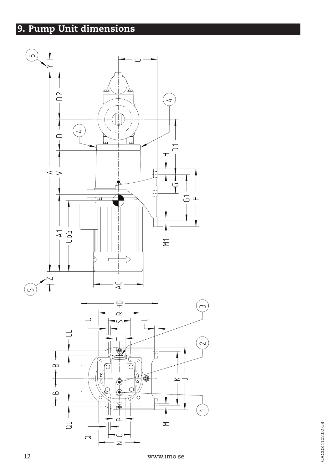# 9. Pump Unit dimensions

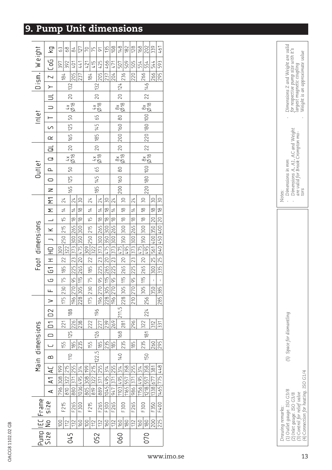# 9. Pump Unit dimensions

|                        | У<br>У                     | 63                                                                                                                                                                                                   | 68                                                                                  | $\overline{84}$           | 127                 | 70                                                                                                                                            | 75                                                                                                                                          | $\overline{6}$                                             | 135                                        | 108                                                                                | 148                                                          | 182                 | 128                                 | 168                                                                                                                                                                       | 202                                | 339                                  | 461                                       |  |
|------------------------|----------------------------|------------------------------------------------------------------------------------------------------------------------------------------------------------------------------------------------------|-------------------------------------------------------------------------------------|---------------------------|---------------------|-----------------------------------------------------------------------------------------------------------------------------------------------|---------------------------------------------------------------------------------------------------------------------------------------------|------------------------------------------------------------|--------------------------------------------|------------------------------------------------------------------------------------|--------------------------------------------------------------|---------------------|-------------------------------------|---------------------------------------------------------------------------------------------------------------------------------------------------------------------------|------------------------------------|--------------------------------------|-------------------------------------------|--|
| Dism.   Weight         | U U V Y Z CoG              | 397                                                                                                                                                                                                  | 392                                                                                 | $-101$                    | 1441                | 421                                                                                                                                           | 415                                                                                                                                         |                                                            | 466                                        | $471$                                                                              | 507                                                          | 509                 | 220 505                             | 554                                                                                                                                                                       | 554                                | 544                                  |                                           |  |
|                        |                            | 184                                                                                                                                                                                                  |                                                                                     | $\sqrt{205}$              | 237                 |                                                                                                                                               | $\frac{1}{1}$ 781,                                                                                                                          | $205$ 425                                                  | 237                                        | 204                                                                                | 236                                                          |                     |                                     |                                                                                                                                                                           |                                    | 266                                  | 295 593                                   |  |
|                        |                            |                                                                                                                                                                                                      |                                                                                     |                           |                     |                                                                                                                                               | $132 -$                                                                                                                                     |                                                            |                                            |                                                                                    |                                                              |                     |                                     |                                                                                                                                                                           |                                    |                                      |                                           |  |
|                        |                            |                                                                                                                                                                                                      |                                                                                     |                           |                     |                                                                                                                                               |                                                                                                                                             |                                                            |                                            |                                                                                    |                                                              |                     |                                     |                                                                                                                                                                           |                                    |                                      |                                           |  |
|                        |                            |                                                                                                                                                                                                      |                                                                                     |                           |                     |                                                                                                                                               |                                                                                                                                             |                                                            |                                            |                                                                                    |                                                              |                     |                                     |                                                                                                                                                                           |                                    |                                      |                                           |  |
| Inlet                  | $\frac{1}{2}$              |                                                                                                                                                                                                      |                                                                                     |                           |                     |                                                                                                                                               |                                                                                                                                             |                                                            |                                            |                                                                                    |                                                              |                     |                                     |                                                                                                                                                                           |                                    |                                      |                                           |  |
|                        |                            |                                                                                                                                                                                                      |                                                                                     |                           |                     |                                                                                                                                               |                                                                                                                                             |                                                            |                                            |                                                                                    |                                                              |                     |                                     |                                                                                                                                                                           |                                    |                                      |                                           |  |
|                        |                            |                                                                                                                                                                                                      |                                                                                     |                           |                     |                                                                                                                                               |                                                                                                                                             |                                                            |                                            |                                                                                    |                                                              |                     |                                     |                                                                                                                                                                           |                                    |                                      |                                           |  |
|                        |                            |                                                                                                                                                                                                      |                                                                                     |                           |                     |                                                                                                                                               |                                                                                                                                             |                                                            |                                            |                                                                                    |                                                              |                     |                                     |                                                                                                                                                                           |                                    |                                      |                                           |  |
|                        | P Q QL R                   |                                                                                                                                                                                                      |                                                                                     |                           |                     |                                                                                                                                               |                                                                                                                                             |                                                            |                                            |                                                                                    |                                                              |                     |                                     |                                                                                                                                                                           |                                    |                                      |                                           |  |
| Outlet                 |                            |                                                                                                                                                                                                      |                                                                                     |                           |                     |                                                                                                                                               |                                                                                                                                             |                                                            |                                            | $\frac{1}{30}$ 200 160 80 $\frac{8x}{6218}$ 20 200 160 80 $\frac{8x}{6218}$ 20 124 |                                                              |                     |                                     |                                                                                                                                                                           |                                    |                                      |                                           |  |
|                        |                            |                                                                                                                                                                                                      | 165   125   50 $\frac{4x}{\phi}$   20   165   125   50 $\frac{4x}{\phi}$   20   132 |                           |                     | $185$ $\left  145 \right $ 65 $\left  \frac{4x}{\emptyset} \right $ 20 $\left  185 \right $ 145 $\left  65 \right $ $\frac{4x}{\emptyset}$ 20 |                                                                                                                                             |                                                            |                                            |                                                                                    |                                                              |                     |                                     |                                                                                                                                                                           |                                    |                                      |                                           |  |
|                        | D   K   L   M   M1   N   D |                                                                                                                                                                                                      |                                                                                     |                           |                     |                                                                                                                                               |                                                                                                                                             |                                                            |                                            |                                                                                    |                                                              |                     |                                     | $\frac{30}{220}\left  180 \right  100 \left  \frac{8x}{\phi} \right  22 \left  220 \right  180 \left  100 \right  \frac{8x}{\phi} \left  22 \right  146 \frac{266}{\phi}$ |                                    |                                      |                                           |  |
|                        |                            | $\frac{24}{5}$                                                                                                                                                                                       |                                                                                     | 24                        | $\approx$           |                                                                                                                                               | $\frac{24}{5}$                                                                                                                              |                                                            | $\approx$                                  | 24                                                                                 |                                                              |                     | $\frac{24}{ }$                      |                                                                                                                                                                           |                                    | $\approx$                            |                                           |  |
|                        |                            |                                                                                                                                                                                                      |                                                                                     | $\frac{4}{3}$             | $\approx$           |                                                                                                                                               |                                                                                                                                             |                                                            | $\tilde{\mathbf{e}}$                       | $\overline{4}$                                                                     |                                                              |                     |                                     |                                                                                                                                                                           | $\frac{1}{10}$                     |                                      |                                           |  |
| Foot dimensions        |                            |                                                                                                                                                                                                      |                                                                                     |                           |                     |                                                                                                                                               |                                                                                                                                             |                                                            |                                            |                                                                                    |                                                              |                     |                                     |                                                                                                                                                                           |                                    |                                      |                                           |  |
|                        |                            |                                                                                                                                                                                                      |                                                                                     |                           |                     |                                                                                                                                               |                                                                                                                                             |                                                            |                                            |                                                                                    |                                                              |                     |                                     |                                                                                                                                                                           |                                    |                                      |                                           |  |
|                        |                            |                                                                                                                                                                                                      |                                                                                     | 373 300 265 18            | 475 350 300 18      |                                                                                                                                               |                                                                                                                                             |                                                            |                                            | 373 300 265 18                                                                     | $\left  \frac{475}{495} \right $ 350 $\left  300 \right $ 18 |                     |                                     | $\frac{475}{495}$ 350 300 18                                                                                                                                              |                                    |                                      |                                           |  |
|                        |                            | $\frac{175}{24}$ $\left[\frac{230}{15}\right]$ $\left[\frac{165}{182}\right]$ $\left[\frac{22}{1322}\right]$ $\left[\frac{250}{250}\right]$ $\left[\frac{16}{14}\right]$ $\left[\frac{1}{14}\right]$ |                                                                                     |                           |                     | $\frac{309}{2}$                                                                                                                               |                                                                                                                                             | 196   270   95   225   23   373   300   265   18   14   24 | 05   115   265   20   475   350   300   18 |                                                                                    |                                                              |                     |                                     |                                                                                                                                                                           |                                    | 300   25   561   400   350   20   18 | 335   25   640   450   400   20   18   30 |  |
|                        |                            |                                                                                                                                                                                                      |                                                                                     |                           |                     |                                                                                                                                               |                                                                                                                                             |                                                            |                                            |                                                                                    |                                                              |                     |                                     |                                                                                                                                                                           |                                    |                                      |                                           |  |
|                        |                            |                                                                                                                                                                                                      |                                                                                     |                           |                     |                                                                                                                                               |                                                                                                                                             |                                                            |                                            |                                                                                    |                                                              |                     |                                     |                                                                                                                                                                           |                                    |                                      |                                           |  |
|                        |                            |                                                                                                                                                                                                      |                                                                                     | 196   270   95   225   23 | 05   115   265   20 |                                                                                                                                               |                                                                                                                                             |                                                            |                                            | 196   270   95   225   23                                                          |                                                              | 05   115   265   20 |                                     |                                                                                                                                                                           | 05   115   265   20                | $\bar{1}$                            | $\frac{1}{2}$                             |  |
|                        | <u>ц</u>                   |                                                                                                                                                                                                      |                                                                                     |                           | m                   |                                                                                                                                               |                                                                                                                                             |                                                            |                                            |                                                                                    |                                                              |                     | 210 270 95 225 23 373 300 265 18 14 |                                                                                                                                                                           | $\overline{\mathbb{S}}$<br>ىي<br>m |                                      | $\frac{1}{6}$<br>$\sim$                   |  |
|                        |                            |                                                                                                                                                                                                      |                                                                                     |                           | 228                 |                                                                                                                                               | $175$ $\left  230 \right $ 75 $\left  185 \right $ $22$ $\left  \frac{1957}{322} \right $ $250$ $\left  215 \right $ 15 $\left  14 \right $ |                                                            | $228$  30                                  |                                                                                    | $228$ 30                                                     |                     | 256                                 |                                                                                                                                                                           |                                    | 285                                  |                                           |  |
|                        |                            |                                                                                                                                                                                                      | 188                                                                                 |                           |                     | 196                                                                                                                                           |                                                                                                                                             |                                                            |                                            | $\frac{1}{281}$  211.5                                                             |                                                              |                     | 224                                 |                                                                                                                                                                           |                                    |                                      |                                           |  |
| $D$ $D1D2$             |                            | 226<br>238<br>222<br>221                                                                                                                                                                             |                                                                                     |                           |                     |                                                                                                                                               |                                                                                                                                             | 227                                                        | 239                                        | 269                                                                                |                                                              |                     | 296                                 | 322<br>312<br>$\overline{331}$                                                                                                                                            |                                    |                                      |                                           |  |
|                        |                            | 125                                                                                                                                                                                                  |                                                                                     |                           |                     |                                                                                                                                               | 126                                                                                                                                         |                                                            | 168                                        |                                                                                    |                                                              | 181                 |                                     |                                                                                                                                                                           |                                    |                                      |                                           |  |
| Main dimensions        |                            | 185<br>155                                                                                                                                                                                           |                                                                                     |                           | 235                 |                                                                                                                                               | 155                                                                                                                                         | 185                                                        | 235                                        | 235<br>185                                                                         |                                                              |                     | 185                                 | 235<br>260                                                                                                                                                                |                                    |                                      | 295                                       |  |
|                        | $\infty$                   |                                                                                                                                                                                                      | $\frac{1}{2}$                                                                       |                           |                     |                                                                                                                                               |                                                                                                                                             | 122.5                                                      |                                            | 0/1                                                                                |                                                              | 150                 |                                     |                                                                                                                                                                           |                                    |                                      |                                           |  |
|                        |                            | 199                                                                                                                                                                                                  |                                                                                     |                           | 314                 |                                                                                                                                               |                                                                                                                                             |                                                            |                                            |                                                                                    |                                                              |                     |                                     |                                                                                                                                                                           |                                    |                                      |                                           |  |
|                        | A1 AC                      |                                                                                                                                                                                                      |                                                                                     |                           |                     |                                                                                                                                               |                                                                                                                                             |                                                            |                                            |                                                                                    |                                                              |                     |                                     |                                                                                                                                                                           |                                    |                                      |                                           |  |
|                        | $\prec$                    | 796 308                                                                                                                                                                                              | 810 322 215                                                                         | 880 371 255               | 1036 495            | 805 308 199                                                                                                                                   | 819 322 215                                                                                                                                 | 889 371 255                                                | 10045 495 314                              | 947 371 255                                                                        | 1103 495 314                                                 | 1165 557 358        | 986 371 255                         | 1156 495 314                                                                                                                                                              | 1218 557 358                       | 1338 677 381                         |                                           |  |
|                        | S12e                       | F215                                                                                                                                                                                                 |                                                                                     | F265                      | F300                |                                                                                                                                               | F215                                                                                                                                        | F265                                                       | F300                                       | F265                                                                               |                                                              | F300                | F265                                |                                                                                                                                                                           | F300                               | F350                                 | F400   1465   775   448                   |  |
|                        | $\overline{z}$             | 100                                                                                                                                                                                                  | 112                                                                                 | 132                       | 160                 | 132<br>112<br>100                                                                                                                             |                                                                                                                                             |                                                            | 160                                        | 132<br>160                                                                         |                                                              | 180                 | $\approx$                           | 160                                                                                                                                                                       | 180                                | 200                                  | 225                                       |  |
| Pump IEC Frame<br>Size | 045<br>060<br>070<br>052   |                                                                                                                                                                                                      |                                                                                     |                           |                     |                                                                                                                                               |                                                                                                                                             |                                                            |                                            |                                                                                    |                                                              |                     |                                     |                                                                                                                                                                           |                                    |                                      |                                           |  |

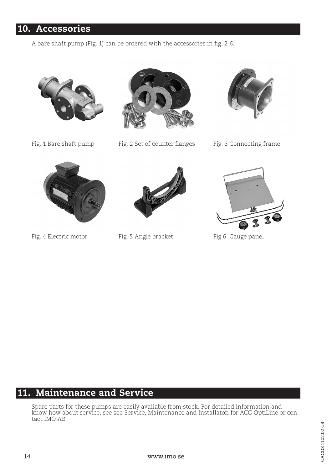# 10. Accessories

A bare shaft pump (Fig. 1) can be ordered with the accessories in fig. 2-6.





Fig. 1 Bare shaft pump Fig. 2 Set of counter flanges Fig. 3 Connecting frame





Fig. 4 Electric motor Fig. 5 Angle bracket Fig 6. Gauge panel





# 11. Maintenance and Service

Spare parts for these pumps are easily available from stock. For detailed information and know-how about service, see see Service, Maintenance and Installaton for ACG OptiLine or contact IMO AB.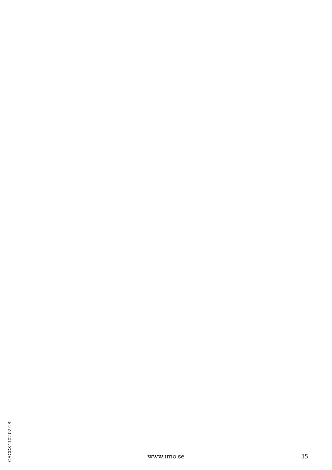www.imo.se